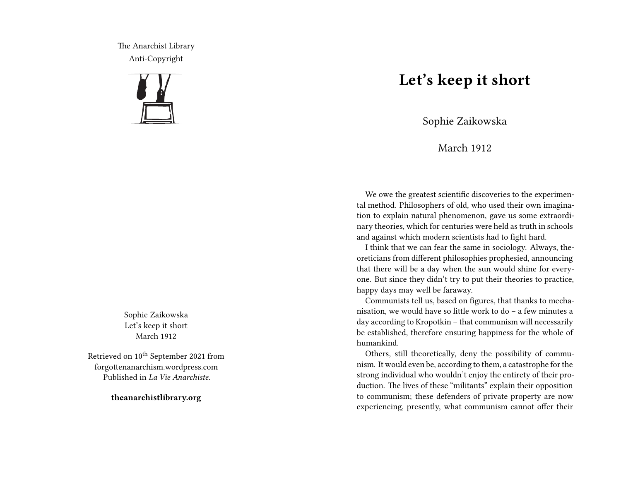The Anarchist Library Anti-Copyright



Sophie Zaikowska Let's keep it short March 1912

Retrieved on 10<sup>th</sup> September 2021 from forgottenanarchism.wordpress.com Published in *La Vie Anarchiste*.

**theanarchistlibrary.org**

## **Let's keep it short**

Sophie Zaikowska

## March 1912

We owe the greatest scientific discoveries to the experimental method. Philosophers of old, who used their own imagination to explain natural phenomenon, gave us some extraordinary theories, which for centuries were held as truth in schools and against which modern scientists had to fight hard.

I think that we can fear the same in sociology. Always, theoreticians from different philosophies prophesied, announcing that there will be a day when the sun would shine for everyone. But since they didn't try to put their theories to practice, happy days may well be faraway.

Communists tell us, based on figures, that thanks to mechanisation, we would have so little work to do – a few minutes a day according to Kropotkin – that communism will necessarily be established, therefore ensuring happiness for the whole of humankind.

Others, still theoretically, deny the possibility of communism. It would even be, according to them, a catastrophe for the strong individual who wouldn't enjoy the entirety of their production. The lives of these "militants" explain their opposition to communism; these defenders of private property are now experiencing, presently, what communism cannot offer their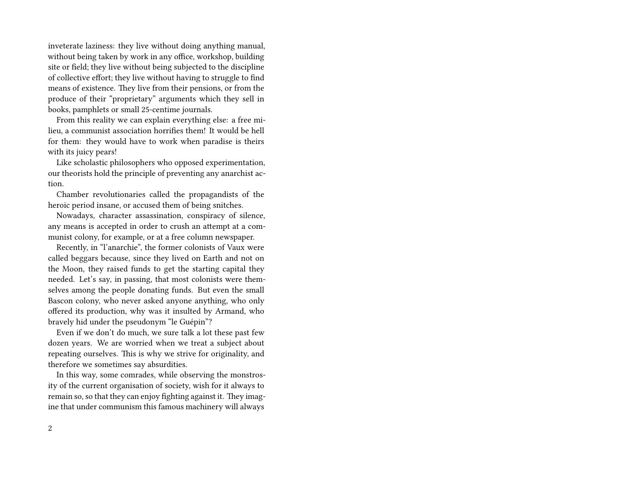inveterate laziness: they live without doing anything manual, without being taken by work in any office, workshop, building site or field; they live without being subjected to the discipline of collective effort; they live without having to struggle to find means of existence. They live from their pensions, or from the produce of their "proprietary" arguments which they sell in books, pamphlets or small 25-centime journals.

From this reality we can explain everything else: a free milieu, a communist association horrifies them! It would be hell for them: they would have to work when paradise is theirs with its juicy pears!

Like scholastic philosophers who opposed experimentation, our theorists hold the principle of preventing any anarchist action.

Chamber revolutionaries called the propagandists of the heroic period insane, or accused them of being snitches.

Nowadays, character assassination, conspiracy of silence, any means is accepted in order to crush an attempt at a communist colony, for example, or at a free column newspaper.

Recently, in "l'anarchie", the former colonists of Vaux were called beggars because, since they lived on Earth and not on the Moon, they raised funds to get the starting capital they needed. Let's say, in passing, that most colonists were themselves among the people donating funds. But even the small Bascon colony, who never asked anyone anything, who only offered its production, why was it insulted by Armand, who bravely hid under the pseudonym "le Guépin"?

Even if we don't do much, we sure talk a lot these past few dozen years. We are worried when we treat a subject about repeating ourselves. This is why we strive for originality, and therefore we sometimes say absurdities.

In this way, some comrades, while observing the monstrosity of the current organisation of society, wish for it always to remain so, so that they can enjoy fighting against it. They imagine that under communism this famous machinery will always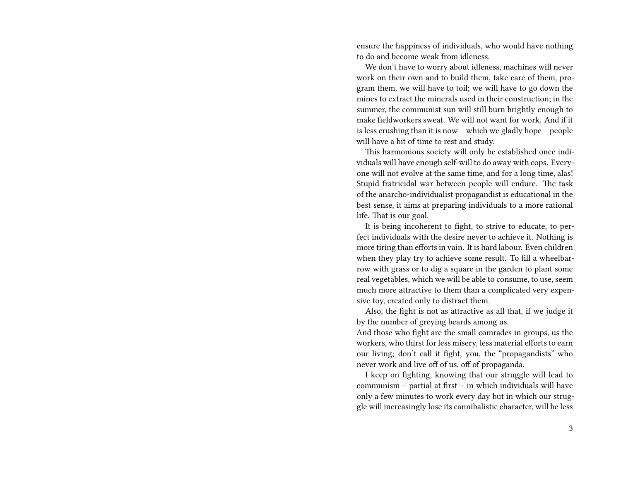ensure the happiness of individuals, who would have nothing to do and become weak from idleness.

We don't have to worry about idleness, machines will never work on their own and to build them, take care of them, program them, we will have to toil; we will have to go down the mines to extract the minerals used in their construction; in the summer, the communist sun will still burn brightly enough to make fieldworkers sweat. We will not want for work. And if it is less crushing than it is now – which we gladly hope – people will have a bit of time to rest and study.

This harmonious society will only be established once individuals will have enough self-will to do away with cops. Everyone will not evolve at the same time, and for a long time, alas! Stupid fratricidal war between people will endure. The task of the anarcho-individualist propagandist is educational in the best sense, it aims at preparing individuals to a more rational life. That is our goal.

It is being incoherent to fight, to strive to educate, to perfect individuals with the desire never to achieve it. Nothing is more tiring than efforts in vain. It is hard labour. Even children when they play try to achieve some result. To fill a wheelbarrow with grass or to dig a square in the garden to plant some real vegetables, which we will be able to consume, to use, seem much more attractive to them than a complicated very expensive toy, created only to distract them.

Also, the fight is not as attractive as all that, if we judge it by the number of greying beards among us.

And those who fight are the small comrades in groups, us the workers, who thirst for less misery, less material efforts to earn our living; don't call it fight, you, the "propagandists" who never work and live off of us, off of propaganda.

I keep on fighting, knowing that our struggle will lead to communism – partial at first – in which individuals will have only a few minutes to work every day but in which our struggle will increasingly lose its cannibalistic character, will be less